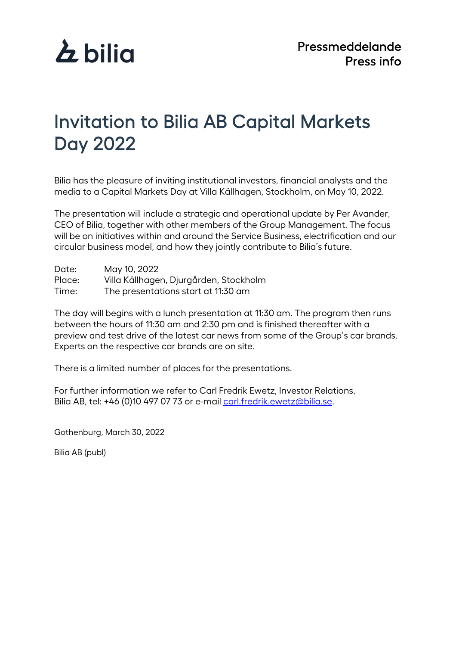

## Invitation to Bilia AB Capital Markets Day 2022

Bilia has the pleasure of inviting institutional investors, financial analysts and the media to a Capital Markets Day at Villa Källhagen, Stockholm, on May 10, 2022.

The presentation will include a strategic and operational update by Per Avander, CEO of Bilia, together with other members of the Group Management. The focus will be on initiatives within and around the Service Business, electrification and our circular business model, and how they jointly contribute to Bilia's future.

| Date:  | May 10, 2022                           |
|--------|----------------------------------------|
| Place: | Villa Källhagen, Djurgården, Stockholm |
| Time:  | The presentations start at 11:30 am    |

The day will begins with a lunch presentation at 11:30 am. The program then runs between the hours of 11:30 am and 2:30 pm and is finished thereafter with a preview and test drive of the latest car news from some of the Group's car brands. Experts on the respective car brands are on site.

There is a limited number of places for the presentations.

For further information we refer to Carl Fredrik Ewetz, Investor Relations, Bilia AB, tel: +46 (0)10 497 07 73 or e-mail [carl.fredrik.ewetz@bilia.se.](mailto:carl.fredrik.ewetz@bilia.se)

Gothenburg, March 30, 2022

Bilia AB (publ)